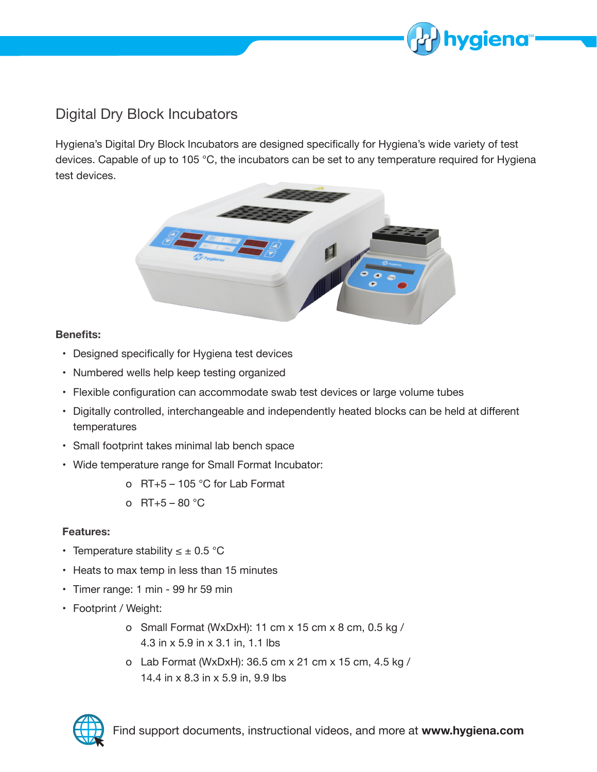

# Digital Dry Block Incubators

Hygiena's Digital Dry Block Incubators are designed specifically for Hygiena's wide variety of test devices. Capable of up to 105 °C, the incubators can be set to any temperature required for Hygiena test devices.



#### **Benefits:**

- Designed specifically for Hygiena test devices
- Numbered wells help keep testing organized
- Flexible configuration can accommodate swab test devices or large volume tubes
- Digitally controlled, interchangeable and independently heated blocks can be held at different temperatures
- Small footprint takes minimal lab bench space
- Wide temperature range for Small Format Incubator:
	- o RT+5 105 °C for Lab Format
	- o  $RT + 5 80 °C$

#### **Features:**

- Temperature stability  $\leq \pm 0.5$  °C
- Heats to max temp in less than 15 minutes
- Timer range: 1 min 99 hr 59 min
- Footprint / Weight:
	- o Small Format (WxDxH): 11 cm x 15 cm x 8 cm, 0.5 kg / 4.3 in x 5.9 in x 3.1 in, 1.1 lbs
	- o Lab Format (WxDxH): 36.5 cm x 21 cm x 15 cm, 4.5 kg / 14.4 in x 8.3 in x 5.9 in, 9.9 lbs